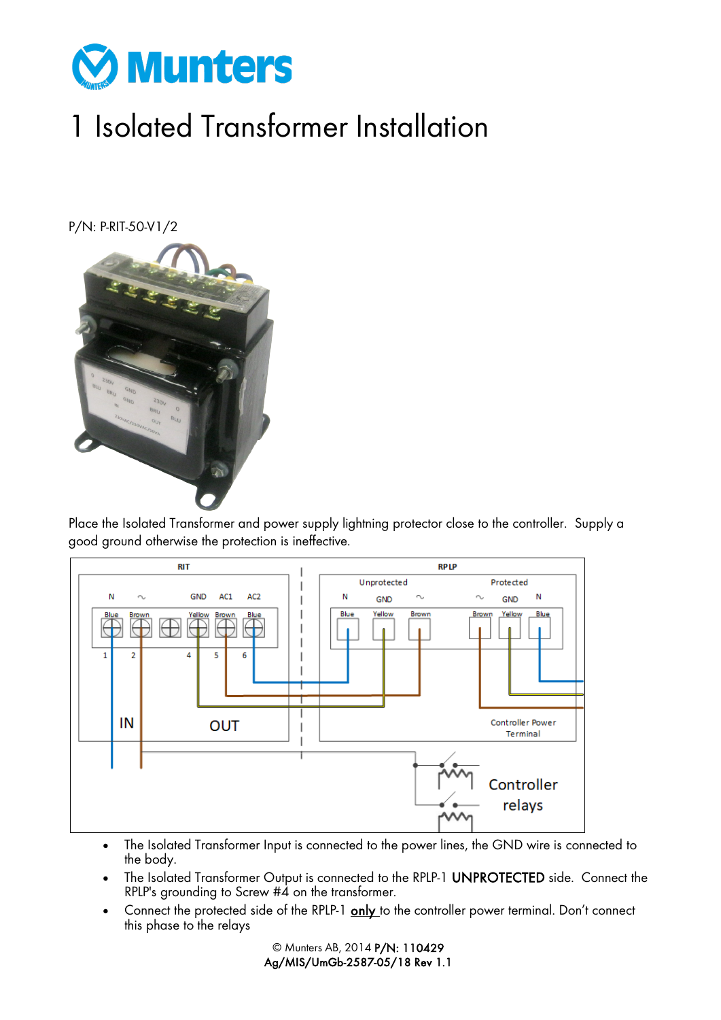

## 1 Isolated Transformer Installation

P/N: P-RIT-50-V1/2



Place the Isolated Transformer and power supply lightning protector close to the controller. Supply a good ground otherwise the protection is ineffective.



- The Isolated Transformer Input is connected to the power lines, the GND wire is connected to the body.
- The Isolated Transformer Output is connected to the RPLP-1 UNPROTECTED side. Connect the RPLP's grounding to Screw #4 on the transformer.
- Connect the protected side of the RPLP-1 only to the controller power terminal. Don't connect this phase to the relays